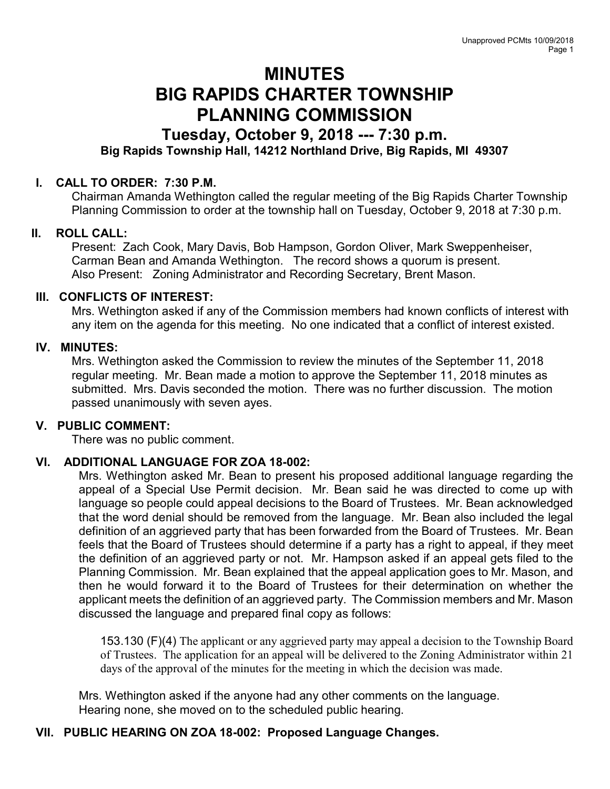# MINUTES BIG RAPIDS CHARTER TOWNSHIP PLANNING COMMISSION

## Tuesday, October 9, 2018 --- 7:30 p.m.

## Big Rapids Township Hall, 14212 Northland Drive, Big Rapids, MI 49307

#### I. CALL TO ORDER: 7:30 P.M.

Chairman Amanda Wethington called the regular meeting of the Big Rapids Charter Township Planning Commission to order at the township hall on Tuesday, October 9, 2018 at 7:30 p.m.

#### II. ROLL CALL:

Present: Zach Cook, Mary Davis, Bob Hampson, Gordon Oliver, Mark Sweppenheiser, Carman Bean and Amanda Wethington. The record shows a quorum is present. Also Present: Zoning Administrator and Recording Secretary, Brent Mason.

#### III. CONFLICTS OF INTEREST:

Mrs. Wethington asked if any of the Commission members had known conflicts of interest with any item on the agenda for this meeting. No one indicated that a conflict of interest existed.

#### IV. MINUTES:

Mrs. Wethington asked the Commission to review the minutes of the September 11, 2018 regular meeting. Mr. Bean made a motion to approve the September 11, 2018 minutes as submitted. Mrs. Davis seconded the motion. There was no further discussion. The motion passed unanimously with seven ayes.

#### V. PUBLIC COMMENT:

There was no public comment.

#### VI. ADDITIONAL LANGUAGE FOR ZOA 18-002:

Mrs. Wethington asked Mr. Bean to present his proposed additional language regarding the appeal of a Special Use Permit decision. Mr. Bean said he was directed to come up with language so people could appeal decisions to the Board of Trustees. Mr. Bean acknowledged that the word denial should be removed from the language. Mr. Bean also included the legal definition of an aggrieved party that has been forwarded from the Board of Trustees. Mr. Bean feels that the Board of Trustees should determine if a party has a right to appeal, if they meet the definition of an aggrieved party or not. Mr. Hampson asked if an appeal gets filed to the Planning Commission. Mr. Bean explained that the appeal application goes to Mr. Mason, and then he would forward it to the Board of Trustees for their determination on whether the applicant meets the definition of an aggrieved party. The Commission members and Mr. Mason discussed the language and prepared final copy as follows:

153.130 (F)(4) The applicant or any aggrieved party may appeal a decision to the Township Board of Trustees. The application for an appeal will be delivered to the Zoning Administrator within 21 days of the approval of the minutes for the meeting in which the decision was made.

Mrs. Wethington asked if the anyone had any other comments on the language. Hearing none, she moved on to the scheduled public hearing.

#### VII. PUBLIC HEARING ON ZOA 18-002: Proposed Language Changes.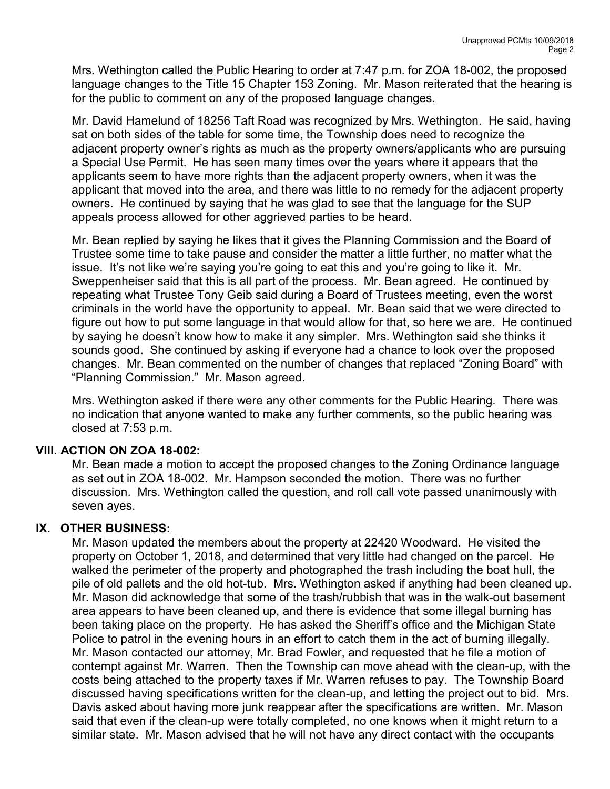Mrs. Wethington called the Public Hearing to order at 7:47 p.m. for ZOA 18-002, the proposed language changes to the Title 15 Chapter 153 Zoning. Mr. Mason reiterated that the hearing is for the public to comment on any of the proposed language changes.

Mr. David Hamelund of 18256 Taft Road was recognized by Mrs. Wethington. He said, having sat on both sides of the table for some time, the Township does need to recognize the adjacent property owner's rights as much as the property owners/applicants who are pursuing a Special Use Permit. He has seen many times over the years where it appears that the applicants seem to have more rights than the adjacent property owners, when it was the applicant that moved into the area, and there was little to no remedy for the adjacent property owners. He continued by saying that he was glad to see that the language for the SUP appeals process allowed for other aggrieved parties to be heard.

Mr. Bean replied by saying he likes that it gives the Planning Commission and the Board of Trustee some time to take pause and consider the matter a little further, no matter what the issue. It's not like we're saying you're going to eat this and you're going to like it. Mr. Sweppenheiser said that this is all part of the process. Mr. Bean agreed. He continued by repeating what Trustee Tony Geib said during a Board of Trustees meeting, even the worst criminals in the world have the opportunity to appeal. Mr. Bean said that we were directed to figure out how to put some language in that would allow for that, so here we are. He continued by saying he doesn't know how to make it any simpler. Mrs. Wethington said she thinks it sounds good. She continued by asking if everyone had a chance to look over the proposed changes. Mr. Bean commented on the number of changes that replaced "Zoning Board" with "Planning Commission." Mr. Mason agreed.

Mrs. Wethington asked if there were any other comments for the Public Hearing. There was no indication that anyone wanted to make any further comments, so the public hearing was closed at 7:53 p.m.

#### VIII. ACTION ON ZOA 18-002:

Mr. Bean made a motion to accept the proposed changes to the Zoning Ordinance language as set out in ZOA 18-002. Mr. Hampson seconded the motion. There was no further discussion. Mrs. Wethington called the question, and roll call vote passed unanimously with seven ayes.

## IX. OTHER BUSINESS:

Mr. Mason updated the members about the property at 22420 Woodward. He visited the property on October 1, 2018, and determined that very little had changed on the parcel. He walked the perimeter of the property and photographed the trash including the boat hull, the pile of old pallets and the old hot-tub. Mrs. Wethington asked if anything had been cleaned up. Mr. Mason did acknowledge that some of the trash/rubbish that was in the walk-out basement area appears to have been cleaned up, and there is evidence that some illegal burning has been taking place on the property. He has asked the Sheriff's office and the Michigan State Police to patrol in the evening hours in an effort to catch them in the act of burning illegally. Mr. Mason contacted our attorney, Mr. Brad Fowler, and requested that he file a motion of contempt against Mr. Warren. Then the Township can move ahead with the clean-up, with the costs being attached to the property taxes if Mr. Warren refuses to pay. The Township Board discussed having specifications written for the clean-up, and letting the project out to bid. Mrs. Davis asked about having more junk reappear after the specifications are written. Mr. Mason said that even if the clean-up were totally completed, no one knows when it might return to a similar state. Mr. Mason advised that he will not have any direct contact with the occupants